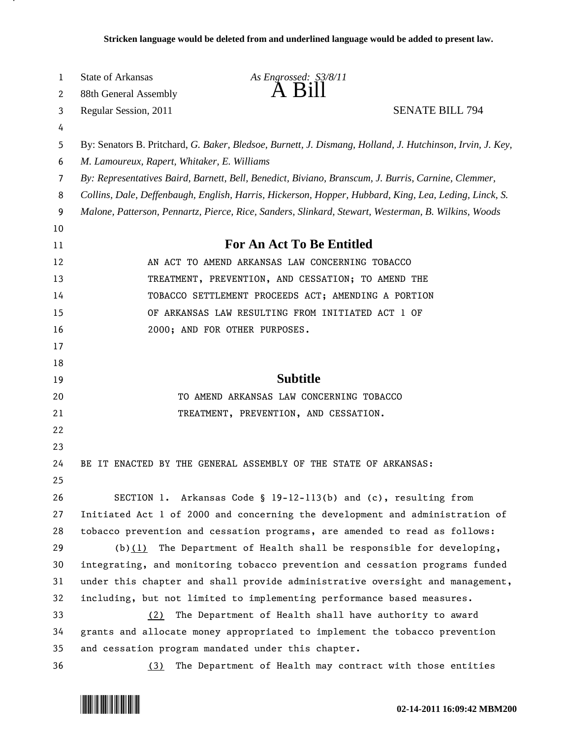| 1  | State of Arkansas                                                                                         | As Engrossed: S3/8/11                                                                                 |  |
|----|-----------------------------------------------------------------------------------------------------------|-------------------------------------------------------------------------------------------------------|--|
| 2  | 88th General Assembly                                                                                     | A B1II                                                                                                |  |
| 3  | Regular Session, 2011                                                                                     | <b>SENATE BILL 794</b>                                                                                |  |
| 4  |                                                                                                           |                                                                                                       |  |
| 5  | By: Senators B. Pritchard, G. Baker, Bledsoe, Burnett, J. Dismang, Holland, J. Hutchinson, Irvin, J. Key, |                                                                                                       |  |
| 6  | M. Lamoureux, Rapert, Whitaker, E. Williams                                                               |                                                                                                       |  |
| 7  |                                                                                                           | By: Representatives Baird, Barnett, Bell, Benedict, Biviano, Branscum, J. Burris, Carnine, Clemmer,   |  |
| 8  |                                                                                                           | Collins, Dale, Deffenbaugh, English, Harris, Hickerson, Hopper, Hubbard, King, Lea, Leding, Linck, S. |  |
| 9  | Malone, Patterson, Pennartz, Pierce, Rice, Sanders, Slinkard, Stewart, Westerman, B. Wilkins, Woods       |                                                                                                       |  |
| 10 |                                                                                                           |                                                                                                       |  |
| 11 |                                                                                                           | <b>For An Act To Be Entitled</b>                                                                      |  |
| 12 |                                                                                                           | AN ACT TO AMEND ARKANSAS LAW CONCERNING TOBACCO                                                       |  |
| 13 |                                                                                                           | TREATMENT, PREVENTION, AND CESSATION; TO AMEND THE                                                    |  |
| 14 |                                                                                                           | TOBACCO SETTLEMENT PROCEEDS ACT; AMENDING A PORTION                                                   |  |
| 15 |                                                                                                           | OF ARKANSAS LAW RESULTING FROM INITIATED ACT 1 OF                                                     |  |
| 16 |                                                                                                           | 2000; AND FOR OTHER PURPOSES.                                                                         |  |
| 17 |                                                                                                           |                                                                                                       |  |
| 18 |                                                                                                           |                                                                                                       |  |
| 19 |                                                                                                           | <b>Subtitle</b>                                                                                       |  |
| 20 |                                                                                                           | TO AMEND ARKANSAS LAW CONCERNING TOBACCO                                                              |  |
| 21 |                                                                                                           | TREATMENT, PREVENTION, AND CESSATION.                                                                 |  |
| 22 |                                                                                                           |                                                                                                       |  |
| 23 |                                                                                                           |                                                                                                       |  |
| 24 |                                                                                                           | BE IT ENACTED BY THE GENERAL ASSEMBLY OF THE STATE OF ARKANSAS:                                       |  |
| 25 |                                                                                                           |                                                                                                       |  |
| 26 |                                                                                                           | SECTION 1. Arkansas Code § 19-12-113(b) and (c), resulting from                                       |  |
| 27 |                                                                                                           | Initiated Act 1 of 2000 and concerning the development and administration of                          |  |
| 28 |                                                                                                           | tobacco prevention and cessation programs, are amended to read as follows:                            |  |
| 29 |                                                                                                           | $(b)(1)$ The Department of Health shall be responsible for developing,                                |  |
| 30 |                                                                                                           | integrating, and monitoring tobacco prevention and cessation programs funded                          |  |
| 31 |                                                                                                           | under this chapter and shall provide administrative oversight and management,                         |  |
| 32 |                                                                                                           | including, but not limited to implementing performance based measures.                                |  |
| 33 | (2)                                                                                                       | The Department of Health shall have authority to award                                                |  |
| 34 |                                                                                                           | grants and allocate money appropriated to implement the tobacco prevention                            |  |
| 35 |                                                                                                           | and cessation program mandated under this chapter.                                                    |  |
| 36 | (3)                                                                                                       | The Department of Health may contract with those entities                                             |  |

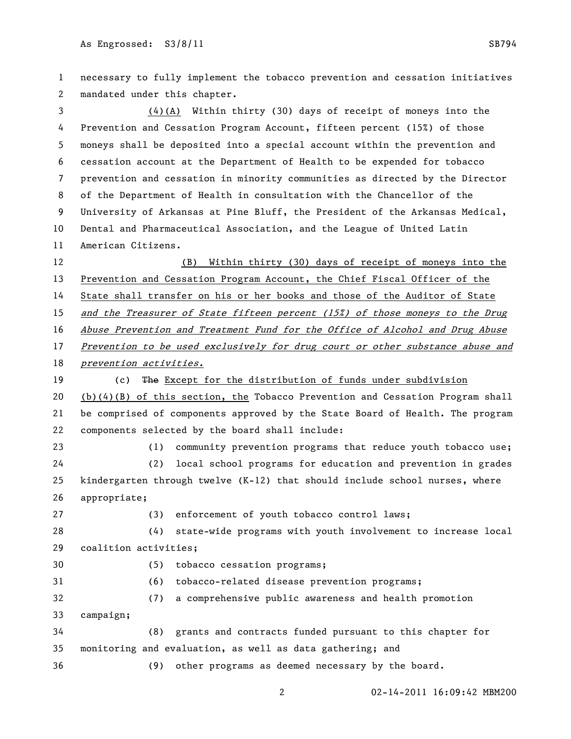necessary to fully implement the tobacco prevention and cessation initiatives mandated under this chapter. (4)(A) Within thirty (30) days of receipt of moneys into the Prevention and Cessation Program Account, fifteen percent (15%) of those moneys shall be deposited into a special account within the prevention and cessation account at the Department of Health to be expended for tobacco prevention and cessation in minority communities as directed by the Director of the Department of Health in consultation with the Chancellor of the University of Arkansas at Pine Bluff, the President of the Arkansas Medical, Dental and Pharmaceutical Association, and the League of United Latin American Citizens. (B) Within thirty (30) days of receipt of moneys into the Prevention and Cessation Program Account, the Chief Fiscal Officer of the State shall transfer on his or her books and those of the Auditor of State and the Treasurer of State fifteen percent (15%) of those moneys to the Drug 16 Abuse Prevention and Treatment Fund for the Office of Alcohol and Drug Abuse Prevention to be used exclusively for drug court or other substance abuse and *prevention activities.*  (c) The Except for the distribution of funds under subdivision 20 (b) $(4)(B)$  of this section, the Tobacco Prevention and Cessation Program shall be comprised of components approved by the State Board of Health. The program components selected by the board shall include: (1) community prevention programs that reduce youth tobacco use; (2) local school programs for education and prevention in grades kindergarten through twelve (K-12) that should include school nurses, where appropriate; (3) enforcement of youth tobacco control laws; (4) state-wide programs with youth involvement to increase local coalition activities; (5) tobacco cessation programs; (6) tobacco-related disease prevention programs; (7) a comprehensive public awareness and health promotion campaign; (8) grants and contracts funded pursuant to this chapter for monitoring and evaluation, as well as data gathering; and (9) other programs as deemed necessary by the board.